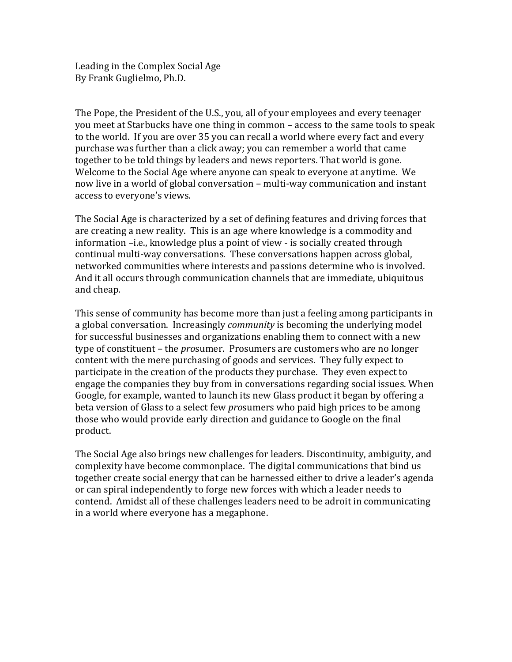Leading in the Complex Social Age By Frank Guglielmo, Ph.D.

The Pope, the President of the U.S., you, all of your employees and every teenager you meet at Starbucks have one thing in common – access to the same tools to speak to the world. If you are over 35 you can recall a world where every fact and every purchase was further than a click away; you can remember a world that came together to be told things by leaders and news reporters. That world is gone. Welcome to the Social Age where anyone can speak to everyone at anytime. We now live in a world of global conversation – multi-way communication and instant access to everyone's views.

The Social Age is characterized by a set of defining features and driving forces that are creating a new reality. This is an age where knowledge is a commodity and information -i.e., knowledge plus a point of view - is socially created through continual multi-way conversations. These conversations happen across global, networked communities where interests and passions determine who is involved. And it all occurs through communication channels that are immediate, ubiquitous and cheap.

This sense of community has become more than just a feeling among participants in a global conversation. Increasingly *community* is becoming the underlying model for successful businesses and organizations enabling them to connect with a new type of constituent – the *prosumer.* Prosumers are customers who are no longer content with the mere purchasing of goods and services. They fully expect to participate in the creation of the products they purchase. They even expect to engage the companies they buy from in conversations regarding social issues. When Google, for example, wanted to launch its new Glass product it began by offering a beta version of Glass to a select few *pro*sumers who paid high prices to be among those who would provide early direction and guidance to Google on the final product.

The Social Age also brings new challenges for leaders. Discontinuity, ambiguity, and complexity have become commonplace. The digital communications that bind us together create social energy that can be harnessed either to drive a leader's agenda or can spiral independently to forge new forces with which a leader needs to contend. Amidst all of these challenges leaders need to be adroit in communicating in a world where everyone has a megaphone.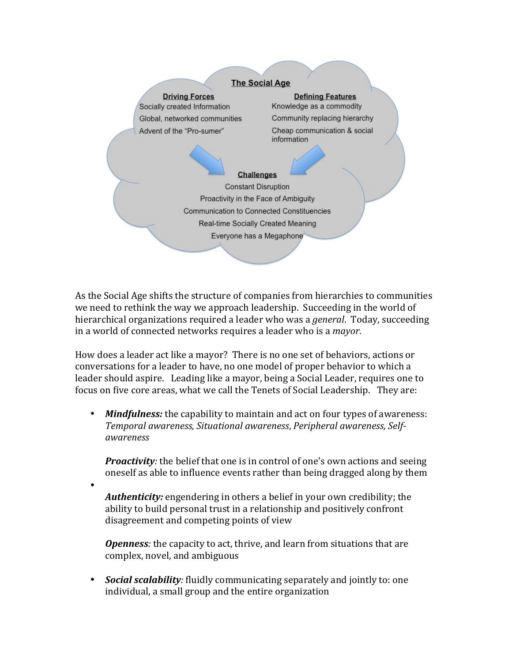

As the Social Age shifts the structure of companies from hierarchies to communities we need to rethink the way we approach leadership. Succeeding in the world of hierarchical organizations required a leader who was a *general*. Today, succeeding in a world of connected networks requires a leader who is a *mayor*.

How does a leader act like a mayor? There is no one set of behaviors, actions or conversations for a leader to have, no one model of proper behavior to which a leader should aspire. Leading like a mayor, being a Social Leader, requires one to focus on five core areas, what we call the Tenets of Social Leadership. They are:

• *Mindfulness:* the capability to maintain and act on four types of awareness: *Temporal awareness, Situational awareness*, *Peripheral awareness, Selfawareness*

*Proactivity:* the belief that one is in control of one's own actions and seeing oneself as able to influence events rather than being dragged along by them

*Authenticity:* engendering in others a belief in your own credibility; the ability to build personal trust in a relationship and positively confront disagreement and competing points of view

•

**Openness**: the capacity to act, thrive, and learn from situations that are complex, novel, and ambiguous

• *Social scalability:* fluidly communicating separately and jointly to: one individual, a small group and the entire organization